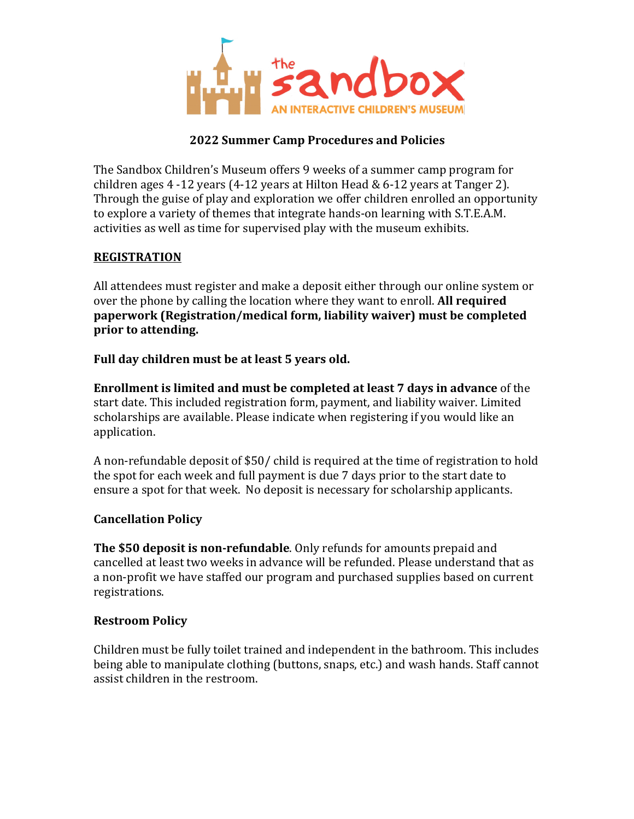

# **2022 Summer Camp Procedures and Policies**

The Sandbox Children's Museum offers 9 weeks of a summer camp program for children ages  $4 - 12$  years  $(4 - 12)$  years at Hilton Head & 6-12 years at Tanger 2). Through the guise of play and exploration we offer children enrolled an opportunity to explore a variety of themes that integrate hands-on learning with S.T.E.A.M. activities as well as time for supervised play with the museum exhibits.

# **REGISTRATION**

All attendees must register and make a deposit either through our online system or over the phone by calling the location where they want to enroll. **All required paperwork (Registration/medical form, liability waiver) must be completed prior** to attending.

#### Full day children must be at least 5 years old.

**Enrollment is limited and must be completed at least 7 days in advance** of the start date. This included registration form, payment, and liability waiver. Limited scholarships are available. Please indicate when registering if you would like an application.

A non-refundable deposit of \$50/ child is required at the time of registration to hold the spot for each week and full payment is due 7 days prior to the start date to ensure a spot for that week. No deposit is necessary for scholarship applicants.

# **Cancellation Policy**

**The \$50 deposit is non-refundable**. Only refunds for amounts prepaid and cancelled at least two weeks in advance will be refunded. Please understand that as a non-profit we have staffed our program and purchased supplies based on current registrations.

#### **Restroom Policy**

Children must be fully toilet trained and independent in the bathroom. This includes being able to manipulate clothing (buttons, snaps, etc.) and wash hands. Staff cannot assist children in the restroom.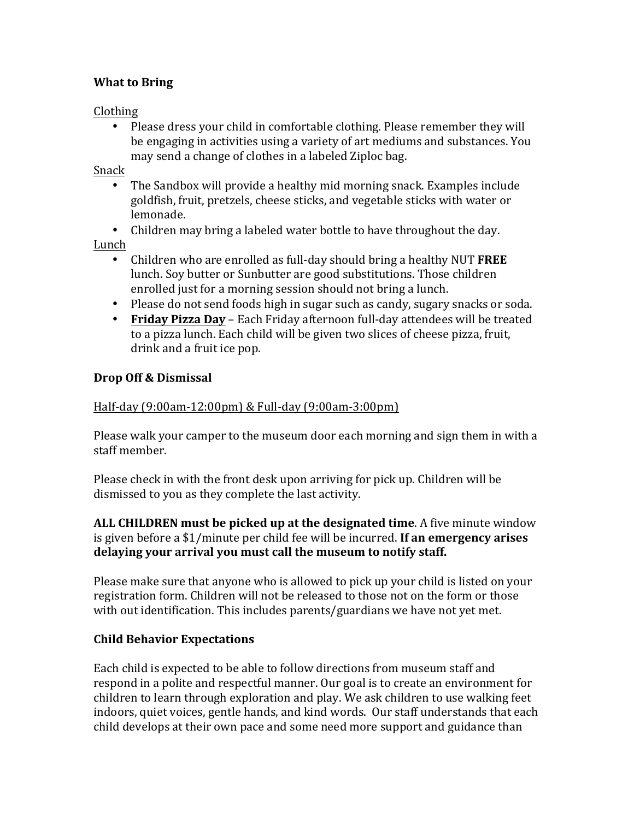# **What to Bring**

# Clothing

• Please dress your child in comfortable clothing. Please remember they will be engaging in activities using a variety of art mediums and substances. You may send a change of clothes in a labeled Ziploc bag.

# Snack

- The Sandbox will provide a healthy mid morning snack. Examples include goldfish, fruit, pretzels, cheese sticks, and vegetable sticks with water or lemonade.
- Children may bring a labeled water bottle to have throughout the day.

Lunch 

- Children who are enrolled as full-day should bring a healthy NUT **FREE** lunch. Soy butter or Sunbutter are good substitutions. Those children enrolled just for a morning session should not bring a lunch.
- Please do not send foods high in sugar such as candy, sugary snacks or soda.
- **Friday Pizza Day** Each Friday afternoon full-day attendees will be treated to a pizza lunch. Each child will be given two slices of cheese pizza, fruit, drink and a fruit ice pop.

# **Drop Off & Dismissal**

# Half-day (9:00am-12:00pm) & Full-day (9:00am-3:00pm)

Please walk your camper to the museum door each morning and sign them in with a staff member.

Please check in with the front desk upon arriving for pick up. Children will be dismissed to you as they complete the last activity.

# **ALL CHILDREN must be picked up at the designated time**. A five minute window is given before a \$1/minute per child fee will be incurred. **If an emergency arises** delaying your arrival you must call the museum to notify staff.

Please make sure that anyone who is allowed to pick up your child is listed on your registration form. Children will not be released to those not on the form or those with out identification. This includes parents/guardians we have not yet met.

# **Child Behavior Expectations**

Each child is expected to be able to follow directions from museum staff and respond in a polite and respectful manner. Our goal is to create an environment for children to learn through exploration and play. We ask children to use walking feet indoors, quiet voices, gentle hands, and kind words. Our staff understands that each child develops at their own pace and some need more support and guidance than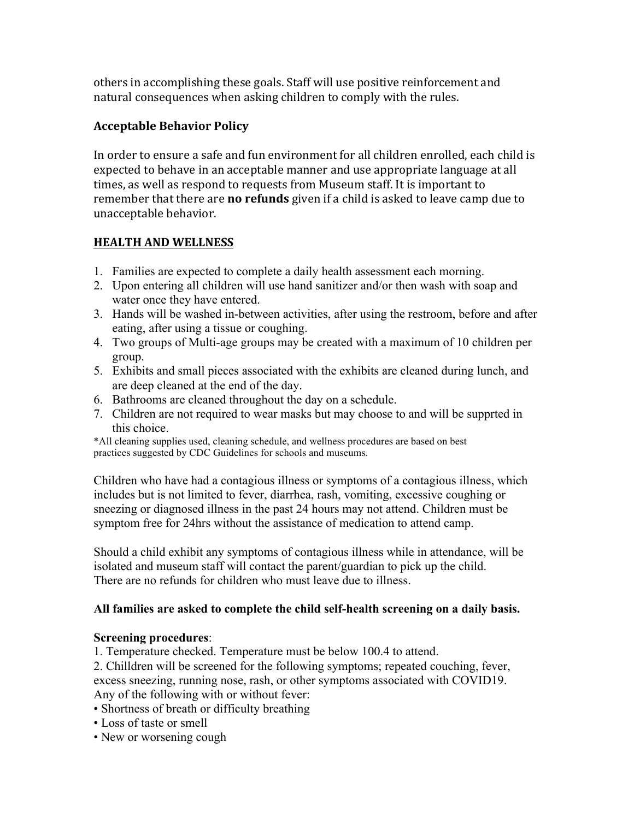others in accomplishing these goals. Staff will use positive reinforcement and natural consequences when asking children to comply with the rules.

# **Acceptable Behavior Policy**

In order to ensure a safe and fun environment for all children enrolled, each child is expected to behave in an acceptable manner and use appropriate language at all times, as well as respond to requests from Museum staff. It is important to remember that there are **no refunds** given if a child is asked to leave camp due to unacceptable behavior.

# **HEALTH AND WELLNESS**

- 1. Families are expected to complete a daily health assessment each morning.
- 2. Upon entering all children will use hand sanitizer and/or then wash with soap and water once they have entered.
- 3. Hands will be washed in-between activities, after using the restroom, before and after eating, after using a tissue or coughing.
- 4. Two groups of Multi-age groups may be created with a maximum of 10 children per group.
- 5. Exhibits and small pieces associated with the exhibits are cleaned during lunch, and are deep cleaned at the end of the day.
- 6. Bathrooms are cleaned throughout the day on a schedule.
- 7. Children are not required to wear masks but may choose to and will be supprted in this choice.

\*All cleaning supplies used, cleaning schedule, and wellness procedures are based on best practices suggested by CDC Guidelines for schools and museums.

Children who have had a contagious illness or symptoms of a contagious illness, which includes but is not limited to fever, diarrhea, rash, vomiting, excessive coughing or sneezing or diagnosed illness in the past 24 hours may not attend. Children must be symptom free for 24hrs without the assistance of medication to attend camp.

Should a child exhibit any symptoms of contagious illness while in attendance, will be isolated and museum staff will contact the parent/guardian to pick up the child. There are no refunds for children who must leave due to illness.

# **All families are asked to complete the child self-health screening on a daily basis.**

# **Screening procedures**:

1. Temperature checked. Temperature must be below 100.4 to attend.

2. Chilldren will be screened for the following symptoms; repeated couching, fever, excess sneezing, running nose, rash, or other symptoms associated with COVID19. Any of the following with or without fever:

- Shortness of breath or difficulty breathing
- Loss of taste or smell
- New or worsening cough